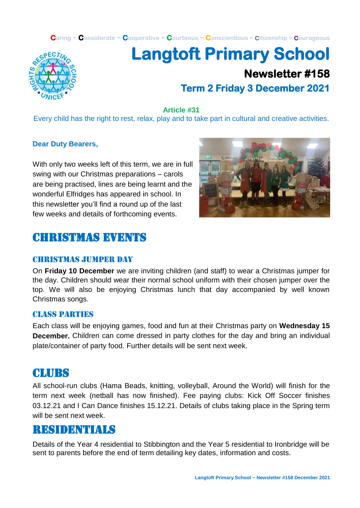**Caring ~ Considerate ~ Cooperative ~ Courteous ~ Conscientious ~ Citizenship ~ Courageous**



# **Langtoft Primary School Newsletter #158 Term 2 Friday 3 December 2021**

**Article #31**

Every child has the right to rest, relax, play and to take part in cultural and creative activities.

#### **Dear Duty Bearers,**

With only two weeks left of this term, we are in full swing with our Christmas preparations – carols are being practised, lines are being learnt and the wonderful Elfridges has appeared in school. In this newsletter you'll find a round up of the last few weeks and details of forthcoming events.



### Christmas events

#### christmas jumper day

On **Friday 10 December** we are inviting children (and staff) to wear a Christmas jumper for the day. Children should wear their normal school uniform with their chosen jumper over the top. We will also be enjoying Christmas lunch that day accompanied by well known Christmas songs.

#### Class parties

Each class will be enjoying games, food and fun at their Christmas party on **Wednesday 15 December.** Children can come dressed in party clothes for the day and bring an individual plate/container of party food. Further details will be sent next week.

#### **CLURS**

All school-run clubs (Hama Beads, knitting, volleyball, Around the World) will finish for the term next week (netball has now finished). Fee paying clubs: Kick Off Soccer finishes 03.12.21 and I Can Dance finishes 15.12.21. Details of clubs taking place in the Spring term will be sent next week.

#### residentials

Details of the Year 4 residential to Stibbington and the Year 5 residential to Ironbridge will be sent to parents before the end of term detailing key dates, information and costs.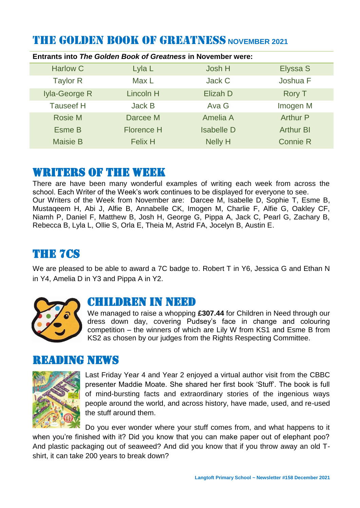# THE GOLDEN BOOK OF GREATNESS **NOVEMBER 2021**

| <b>Entrants into The Golden Book of Greatness in November were:</b> |                   |                   |                  |  |
|---------------------------------------------------------------------|-------------------|-------------------|------------------|--|
| <b>Harlow C</b>                                                     | Lyla L            | Josh H            | Elyssa S         |  |
| <b>Taylor R</b>                                                     | Max L             | Jack C            | Joshua F         |  |
| Iyla-George R                                                       | <b>Lincoln H</b>  | Elizah D          | <b>Rory T</b>    |  |
| <b>Tauseef H</b>                                                    | <b>Jack B</b>     | Ava G             | Imogen M         |  |
| <b>Rosie M</b>                                                      | Darcee M          | Amelia A          | <b>Arthur P</b>  |  |
| Esme B                                                              | <b>Florence H</b> | <b>Isabelle D</b> | <b>Arthur BI</b> |  |
| <b>Maisie B</b>                                                     | <b>Felix H</b>    | <b>Nelly H</b>    | <b>Connie R</b>  |  |

#### WRITERS OF THE WEEK

There are have been many wonderful examples of writing each week from across the school. Each Writer of the Week's work continues to be displayed for everyone to see. Our Writers of the Week from November are: Darcee M, Isabelle D, Sophie T, Esme B, Mustaqeem H, Abi J, Alfie B, Annabelle CK, Imogen M, Charlie F, Alfie G, Oakley CF, Niamh P, Daniel F, Matthew B, Josh H, George G, Pippa A, Jack C, Pearl G, Zachary B, Rebecca B, Lyla L, Ollie S, Orla E, Theia M, Astrid FA, Jocelyn B, Austin E.

### THE 7Cs

We are pleased to be able to award a 7C badge to. Robert T in Y6, Jessica G and Ethan N in Y4, Amelia D in Y3 and Pippa A in Y2.



### CHILDREN IN NEED

We managed to raise a whopping **£307.44** for Children in Need through our dress down day, covering Pudsey's face in change and colouring competition – the winners of which are Lily W from KS1 and Esme B from KS2 as chosen by our judges from the Rights Respecting Committee.

#### Reading news



Last Friday Year 4 and Year 2 enjoyed a virtual author visit from the CBBC presenter Maddie Moate. She shared her first book 'Stuff'. The book is full of mind-bursting facts and extraordinary stories of the ingenious ways people around the world, and across history, have made, used, and re-used the stuff around them.

Do you ever wonder where your stuff comes from, and what happens to it when you're finished with it? Did you know that you can make paper out of elephant poo? And plastic packaging out of seaweed? And did you know that if you throw away an old Tshirt, it can take 200 years to break down?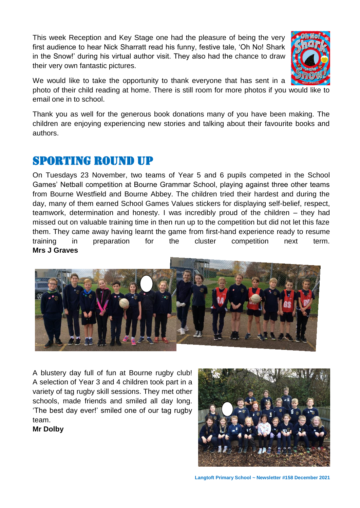This week Reception and Key Stage one had the pleasure of being the very first audience to hear Nick Sharratt read his funny, festive tale, 'Oh No! Shark in the Snow!' during his virtual author visit. They also had the chance to draw their very own fantastic pictures.



We would like to take the opportunity to thank everyone that has sent in a

photo of their child reading at home. There is still room for more photos if you would like to email one in to school.

Thank you as well for the generous book donations many of you have been making. The children are enjoying experiencing new stories and talking about their favourite books and authors.

# Sporting round up

On Tuesdays 23 November, two teams of Year 5 and 6 pupils competed in the School Games' Netball competition at Bourne Grammar School, playing against three other teams from Bourne Westfield and Bourne Abbey. The children tried their hardest and during the day, many of them earned School Games Values stickers for displaying self-belief, respect, teamwork, determination and honesty. I was incredibly proud of the children – they had missed out on valuable training time in then run up to the competition but did not let this faze them. They came away having learnt the game from first-hand experience ready to resume training in preparation for the cluster competition next term. **Mrs J Graves**



A blustery day full of fun at Bourne rugby club! A selection of Year 3 and 4 children took part in a variety of tag rugby skill sessions. They met other schools, made friends and smiled all day long. 'The best day ever!' smiled one of our tag rugby team.

**Mr Dolby** 

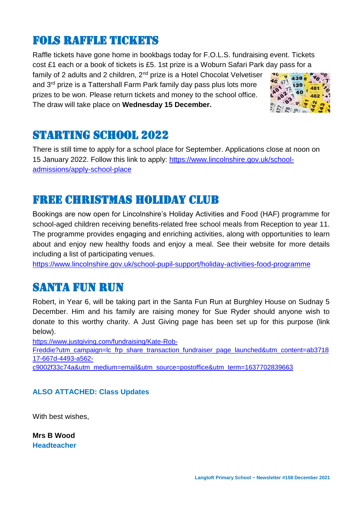### Fols Raffle tickets

Raffle tickets have gone home in bookbags today for F.O.L.S. fundraising event. Tickets cost £1 each or a book of tickets is £5. 1st prize is a Woburn Safari Park day pass for a

family of 2 adults and 2 children,  $2^{nd}$  prize is a Hotel Chocolat Velvetiser and 3rd prize is a Tattershall Farm Park family day pass plus lots more prizes to be won. Please return tickets and money to the school office. The draw will take place on **Wednesday 15 December.**



### Starting school 2022

There is still time to apply for a school place for September. Applications close at noon on 15 January 2022. Follow this link to apply: [https://www.lincolnshire.gov.uk/school](https://www.lincolnshire.gov.uk/school-admissions/apply-school-place)[admissions/apply-school-place](https://www.lincolnshire.gov.uk/school-admissions/apply-school-place)

### Free Christmas holiday club

Bookings are now open for Lincolnshire's Holiday Activities and Food (HAF) programme for school-aged children receiving benefits-related free school meals from Reception to year 11. The programme provides engaging and enriching activities, along with opportunities to learn about and enjoy new healthy foods and enjoy a meal. See their website for more details including a list of participating venues.

<https://www.lincolnshire.gov.uk/school-pupil-support/holiday-activities-food-programme>

# santa fun run

Robert, in Year 6, will be taking part in the Santa Fun Run at Burghley House on Sudnay 5 December. Him and his family are raising money for Sue Ryder should anyone wish to donate to this worthy charity. A Just Giving page has been set up for this purpose (link below).

[https://www.justgiving.com/fundraising/Kate-Rob-](https://www.justgiving.com/fundraising/Kate-Rob-Freddie?utm_campaign=lc_frp_share_transaction_fundraiser_page_launched&utm_content=ab371817-667d-4493-a562-c9002f33c74a&utm_medium=email&utm_source=postoffice&utm_term=1637702839663)

[Freddie?utm\\_campaign=lc\\_frp\\_share\\_transaction\\_fundraiser\\_page\\_launched&utm\\_content=ab3718](https://www.justgiving.com/fundraising/Kate-Rob-Freddie?utm_campaign=lc_frp_share_transaction_fundraiser_page_launched&utm_content=ab371817-667d-4493-a562-c9002f33c74a&utm_medium=email&utm_source=postoffice&utm_term=1637702839663) [17-667d-4493-a562-](https://www.justgiving.com/fundraising/Kate-Rob-Freddie?utm_campaign=lc_frp_share_transaction_fundraiser_page_launched&utm_content=ab371817-667d-4493-a562-c9002f33c74a&utm_medium=email&utm_source=postoffice&utm_term=1637702839663)

[c9002f33c74a&utm\\_medium=email&utm\\_source=postoffice&utm\\_term=1637702839663](https://www.justgiving.com/fundraising/Kate-Rob-Freddie?utm_campaign=lc_frp_share_transaction_fundraiser_page_launched&utm_content=ab371817-667d-4493-a562-c9002f33c74a&utm_medium=email&utm_source=postoffice&utm_term=1637702839663)

#### **ALSO ATTACHED: Class Updates**

With best wishes,

**Mrs B Wood Headteacher**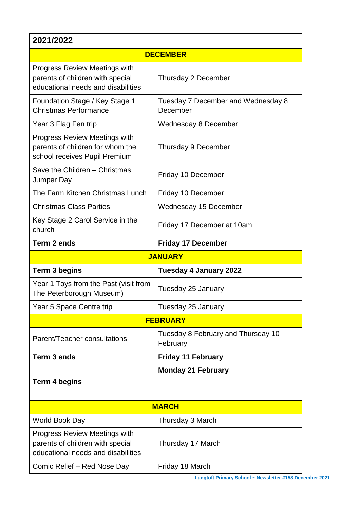| 2021/2022                                                                                                      |                                                |  |  |
|----------------------------------------------------------------------------------------------------------------|------------------------------------------------|--|--|
| <b>DECEMBER</b>                                                                                                |                                                |  |  |
| <b>Progress Review Meetings with</b><br>parents of children with special<br>educational needs and disabilities | Thursday 2 December                            |  |  |
| Foundation Stage / Key Stage 1<br><b>Christmas Performance</b>                                                 | Tuesday 7 December and Wednesday 8<br>December |  |  |
| Year 3 Flag Fen trip                                                                                           | Wednesday 8 December                           |  |  |
| <b>Progress Review Meetings with</b><br>parents of children for whom the<br>school receives Pupil Premium      | <b>Thursday 9 December</b>                     |  |  |
| Save the Children - Christmas<br>Jumper Day                                                                    | Friday 10 December                             |  |  |
| The Farm Kitchen Christmas Lunch                                                                               | Friday 10 December                             |  |  |
| <b>Christmas Class Parties</b>                                                                                 | <b>Wednesday 15 December</b>                   |  |  |
| Key Stage 2 Carol Service in the<br>church                                                                     | Friday 17 December at 10am                     |  |  |
| Term 2 ends                                                                                                    | <b>Friday 17 December</b>                      |  |  |
| <b>JANUARY</b>                                                                                                 |                                                |  |  |
| <b>Term 3 begins</b>                                                                                           | <b>Tuesday 4 January 2022</b>                  |  |  |
| Year 1 Toys from the Past (visit from<br>The Peterborough Museum)                                              | Tuesday 25 January                             |  |  |
| Year 5 Space Centre trip                                                                                       | Tuesday 25 January                             |  |  |
| <b>FEBRUARY</b>                                                                                                |                                                |  |  |
| Parent/Teacher consultations                                                                                   | Tuesday 8 February and Thursday 10<br>February |  |  |
| Term 3 ends                                                                                                    | <b>Friday 11 February</b>                      |  |  |
| <b>Term 4 begins</b>                                                                                           | <b>Monday 21 February</b>                      |  |  |
| <b>MARCH</b>                                                                                                   |                                                |  |  |
| World Book Day                                                                                                 | Thursday 3 March                               |  |  |
| <b>Progress Review Meetings with</b><br>parents of children with special<br>educational needs and disabilities | Thursday 17 March                              |  |  |
| Comic Relief - Red Nose Day                                                                                    | Friday 18 March                                |  |  |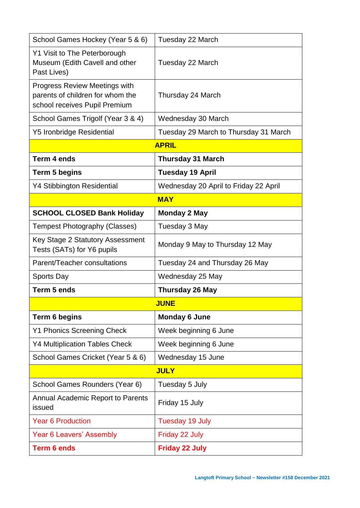| School Games Hockey (Year 5 & 6)                                                                          | Tuesday 22 March                      |  |  |  |
|-----------------------------------------------------------------------------------------------------------|---------------------------------------|--|--|--|
| Y1 Visit to The Peterborough<br>Museum (Edith Cavell and other<br>Past Lives)                             | Tuesday 22 March                      |  |  |  |
| <b>Progress Review Meetings with</b><br>parents of children for whom the<br>school receives Pupil Premium | Thursday 24 March                     |  |  |  |
| School Games Trigolf (Year 3 & 4)                                                                         | Wednesday 30 March                    |  |  |  |
| <b>Y5 Ironbridge Residential</b>                                                                          | Tuesday 29 March to Thursday 31 March |  |  |  |
| <b>APRIL</b>                                                                                              |                                       |  |  |  |
| Term 4 ends                                                                                               | <b>Thursday 31 March</b>              |  |  |  |
| <b>Term 5 begins</b>                                                                                      | <b>Tuesday 19 April</b>               |  |  |  |
| <b>Y4 Stibbington Residential</b>                                                                         | Wednesday 20 April to Friday 22 April |  |  |  |
| <b>MAY</b>                                                                                                |                                       |  |  |  |
| <b>SCHOOL CLOSED Bank Holiday</b>                                                                         | <b>Monday 2 May</b>                   |  |  |  |
| <b>Tempest Photography (Classes)</b>                                                                      | Tuesday 3 May                         |  |  |  |
| Key Stage 2 Statutory Assessment<br>Tests (SATs) for Y6 pupils                                            | Monday 9 May to Thursday 12 May       |  |  |  |
| Parent/Teacher consultations                                                                              | Tuesday 24 and Thursday 26 May        |  |  |  |
| <b>Sports Day</b>                                                                                         | Wednesday 25 May                      |  |  |  |
| Term 5 ends                                                                                               | <b>Thursday 26 May</b>                |  |  |  |
|                                                                                                           | <b>JUNE</b>                           |  |  |  |
| Term 6 begins                                                                                             | <b>Monday 6 June</b>                  |  |  |  |
| <b>Y1 Phonics Screening Check</b>                                                                         | Week beginning 6 June                 |  |  |  |
| <b>Y4 Multiplication Tables Check</b>                                                                     | Week beginning 6 June                 |  |  |  |
| School Games Cricket (Year 5 & 6)                                                                         | Wednesday 15 June                     |  |  |  |
| <b>JULY</b>                                                                                               |                                       |  |  |  |
| School Games Rounders (Year 6)                                                                            | Tuesday 5 July                        |  |  |  |
| Annual Academic Report to Parents<br>issued                                                               | Friday 15 July                        |  |  |  |
| <b>Year 6 Production</b>                                                                                  | Tuesday 19 July                       |  |  |  |
| Year 6 Leavers' Assembly                                                                                  | Friday 22 July                        |  |  |  |
| <b>Term 6 ends</b>                                                                                        | <b>Friday 22 July</b>                 |  |  |  |